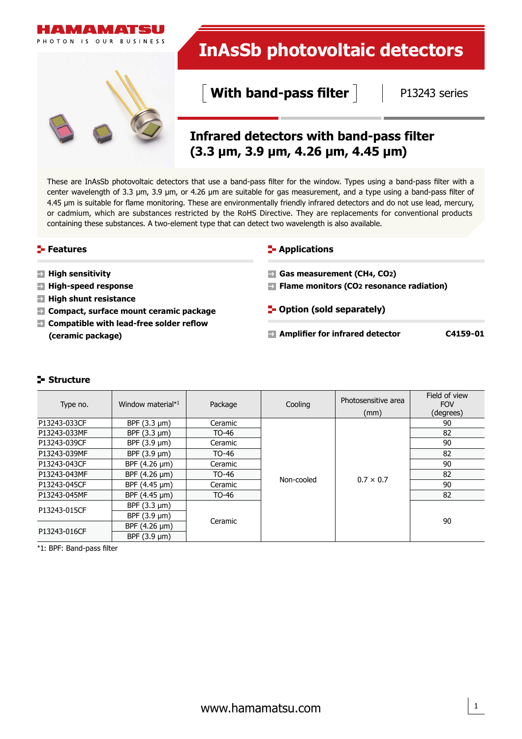

These are InAsSb photovoltaic detectors that use a band-pass filter for the window. Types using a band-pass filter with a center wavelength of 3.3 μm, 3.9 μm, or 4.26 μm are suitable for gas measurement, and a type using a band-pass filter of 4.45 μm is suitable for flame monitoring. These are environmentally friendly infrared detectors and do not use lead, mercury, or cadmium, which are substances restricted by the RoHS Directive. They are replacements for conventional products containing these substances. A two-element type that can detect two wavelength is also available.

# **Features**

**High sensitivity High-speed response High shunt resistance** 

# **E-** Applications

- **Gas measurement (CH4, CO2)**
- **Flame monitors (CO2 resonance radiation)**
- **Compact, surface mount ceramic package Compatible with lead-free solder reflow (ceramic package)**
- **F** Option (sold separately)
- **Amplifier for infrared detector C4159-01**

# **Structure**

| Type no.     | Window material*1      | Package | Cooling    | Photosensitive area<br>(mm) | Field of view<br><b>FOV</b><br>(degrees) |
|--------------|------------------------|---------|------------|-----------------------------|------------------------------------------|
| P13243-033CF | BPF $(3.3 \text{ µm})$ | Ceramic |            |                             | 90                                       |
| P13243-033MF | BPF $(3.3 \mu m)$      | TO-46   |            |                             | 82                                       |
| P13243-039CF | BPF $(3.9 \text{ µm})$ | Ceramic |            |                             | 90                                       |
| P13243-039MF | BPF $(3.9 \text{ µm})$ | TO-46   |            |                             | 82                                       |
| P13243-043CF | BPF $(4.26 \,\mu m)$   | Ceramic |            |                             | 90                                       |
| P13243-043MF | BPF $(4.26 \mu m)$     | TO-46   |            |                             | 82                                       |
| P13243-045CF | BPF $(4.45 \,\mu m)$   | Ceramic | Non-cooled | $0.7 \times 0.7$            | 90                                       |
| P13243-045MF | BPF $(4.45 \mu m)$     | TO-46   |            |                             | 82                                       |
| P13243-015CF | BPF $(3.3 \mu m)$      |         |            |                             |                                          |
|              | BPF $(3.9 \mu m)$      |         |            |                             |                                          |
| P13243-016CF | BPF (4.26 µm)          | Ceramic |            |                             | 90                                       |
|              | BPF $(3.9 \text{ µm})$ |         |            |                             |                                          |

\*1: BPF: Band-pass filter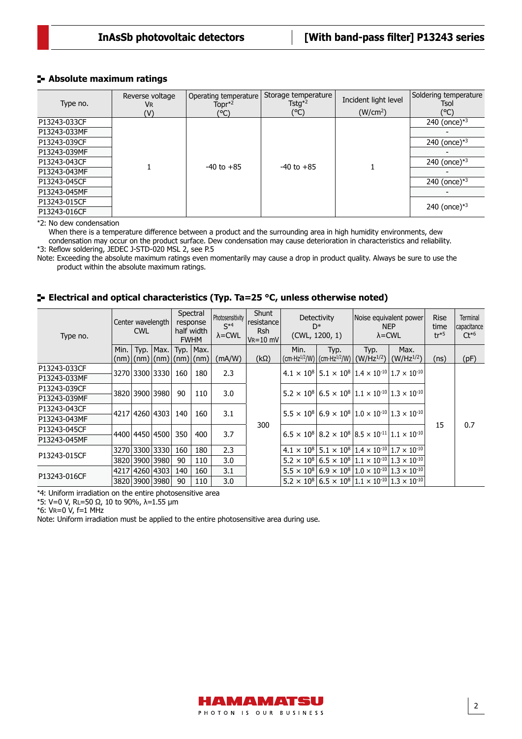# **Absolute maximum ratings**

| Type no.     | Reverse voltage<br>VR<br>(V) | Operating temperature<br>Topr $*^2$<br>(°C) | Storage temperature<br>Tstg <sup><math>*2</math></sup><br>(°C) | Incident light level<br>(W/cm <sup>2</sup> ) | Soldering temperature<br>Tsol<br>(°C) |
|--------------|------------------------------|---------------------------------------------|----------------------------------------------------------------|----------------------------------------------|---------------------------------------|
| P13243-033CF |                              | $-40$ to $+85$                              | $-40$ to $+85$                                                 |                                              | 240 (once) $*3$                       |
| P13243-033MF |                              |                                             |                                                                |                                              |                                       |
| P13243-039CF |                              |                                             |                                                                |                                              | 240 (once) $*3$                       |
| P13243-039MF |                              |                                             |                                                                |                                              |                                       |
| P13243-043CF |                              |                                             |                                                                |                                              | 240 (once) $*3$                       |
| P13243-043MF |                              |                                             |                                                                |                                              |                                       |
| P13243-045CF |                              |                                             |                                                                |                                              | 240 (once) $*3$                       |
| P13243-045MF |                              |                                             |                                                                |                                              |                                       |
| P13243-015CF |                              |                                             |                                                                |                                              | 240 (once) $*3$                       |
| P13243-016CF |                              |                                             |                                                                |                                              |                                       |

\*2: No dew condensation

When there is a temperature difference between a product and the surrounding area in high humidity environments, dew condensation may occur on the product surface. Dew condensation may cause deterioration in characteristics and reliability. \*3: Reflow soldering, JEDEC J-STD-020 MSL 2, see P.5

Note: Exceeding the absolute maximum ratings even momentarily may cause a drop in product quality. Always be sure to use the product within the absolute maximum ratings.

# **Electrical and optical characteristics (Typ. Ta=25 °C, unless otherwise noted)**

| Type no.     | Center wavelength<br><b>CWL</b> |                |                          | Spectral<br>response<br>$S^*$<br>half width<br><b>FWHM</b> |              | Photosensitivity<br>$\lambda$ = CWL | Shunt<br>resistance<br>Rsh<br>$V_R = 10$ mV | Detectivity<br>$\mathsf{D}^*$<br>(CWL, 1200, 1)                                                                |                                                                                                                | Noise equivalent power<br><b>NEP</b><br>$\lambda$ = CWL |                                                                                                                      | <b>Rise</b><br>time<br>$tr*5$ | Terminal<br>capacitance<br>$Ct^{*6}$ |
|--------------|---------------------------------|----------------|--------------------------|------------------------------------------------------------|--------------|-------------------------------------|---------------------------------------------|----------------------------------------------------------------------------------------------------------------|----------------------------------------------------------------------------------------------------------------|---------------------------------------------------------|----------------------------------------------------------------------------------------------------------------------|-------------------------------|--------------------------------------|
|              | Min. $\vert$                    | Typ.           | Max.                     |                                                            | Typ. $ Max.$ |                                     |                                             | Min.                                                                                                           | Typ.                                                                                                           | Typ.                                                    | Max.                                                                                                                 |                               |                                      |
|              |                                 |                | (nm) (nm) (nm) (nm) (nm) |                                                            |              | (mA/W)                              | $(k\Omega)$                                 |                                                                                                                | $\frac{1}{2}$ (cm·Hz <sup>1/2</sup> /W) $\frac{1}{2}$ (cm·Hz <sup>1/2</sup> /W) $\frac{1}{2}$                  | $(W/Hz^{1/2})$                                          | $(W/Hz^{1/2})$                                                                                                       | (ns)                          | (pF)                                 |
| P13243-033CF |                                 |                |                          |                                                            |              |                                     |                                             |                                                                                                                |                                                                                                                |                                                         |                                                                                                                      |                               |                                      |
| P13243-033MF |                                 |                | 3270 3300 3330           | 160                                                        | 180          | 2.3                                 |                                             |                                                                                                                | $4.1 \times 10^{8}$ 5.1 $\times$ 10 <sup>8</sup> 1.4 $\times$ 10 <sup>-10</sup> 1.7 $\times$ 10 <sup>-10</sup> |                                                         |                                                                                                                      |                               |                                      |
| P13243-039CF |                                 |                | 3820 3900 3980           | 90                                                         | 110          | 3.0                                 |                                             | $5.2 \times 10^{8}$ 6.5 $\times$ 10 <sup>8</sup> 1.1 $\times$ 10 <sup>-10</sup> 1.3 $\times$ 10 <sup>-10</sup> |                                                                                                                |                                                         |                                                                                                                      |                               |                                      |
| P13243-039MF |                                 |                |                          |                                                            |              |                                     |                                             |                                                                                                                |                                                                                                                |                                                         |                                                                                                                      |                               |                                      |
| P13243-043CF |                                 |                |                          | 140                                                        | 160          | 3.1                                 |                                             |                                                                                                                |                                                                                                                |                                                         | $5.5 \times 10^8$ 6.9 $\times$ 10 <sup>8</sup> 1.0 $\times$ 10 <sup>-10</sup> 1.3 $\times$ 10 <sup>-10</sup>         |                               |                                      |
| P13243-043MF |                                 | 4217 4260 4303 |                          |                                                            |              |                                     |                                             |                                                                                                                |                                                                                                                |                                                         |                                                                                                                      | 15                            |                                      |
| P13243-045CF |                                 |                | 4400 4450 4500           | 350                                                        | 400          | 3.7                                 | 300                                         |                                                                                                                |                                                                                                                |                                                         | $6.5 \times 10^{8}$   8.2 $\times$ 10 <sup>8</sup>   8.5 $\times$ 10 <sup>-11</sup>   1.1 $\times$ 10 <sup>-10</sup> |                               | 0.7                                  |
| P13243-045MF |                                 |                |                          |                                                            |              |                                     |                                             |                                                                                                                |                                                                                                                |                                                         |                                                                                                                      |                               |                                      |
| P13243-015CF |                                 |                | 3270 3300 3330           | 160                                                        | 180          | 2.3                                 |                                             |                                                                                                                |                                                                                                                |                                                         | $4.1 \times 10^{8}$ 5.1 $\times$ 10 <sup>8</sup> 1.4 $\times$ 10 <sup>-10</sup> 1.7 $\times$ 10 <sup>-10</sup>       |                               |                                      |
|              |                                 |                | 3820 3900 3980           | 90                                                         | 110          | 3.0                                 |                                             |                                                                                                                |                                                                                                                |                                                         | $5.2 \times 10^8   6.5 \times 10^8   1.1 \times 10^{10}   1.3 \times 10^{10}  $                                      |                               |                                      |
| P13243-016CF |                                 |                | 4217 4260 4303           | 140                                                        | 160          | 3.1                                 |                                             |                                                                                                                |                                                                                                                |                                                         | $5.5 \times 10^{8}$ 6.9 $\times$ 10 <sup>8</sup> 1.0 $\times$ 10 <sup>-10</sup> 1.3 $\times$ 10 <sup>-10</sup>       |                               |                                      |
|              |                                 |                | 3820 3900 3980           | 90                                                         | 110          | 3.0                                 |                                             |                                                                                                                |                                                                                                                |                                                         | $5.2 \times 10^8   6.5 \times 10^8   1.1 \times 10^{-10}   1.3 \times 10^{-10}  $                                    |                               |                                      |

\*4: Uniform irradiation on the entire photosensitive area

\*5: V=0 V, RL=50 Ω, 10 to 90%, λ=1.55 μm

\*6: VR=0 V, f=1 MHz

Note: Uniform irradiation must be applied to the entire photosensitive area during use.

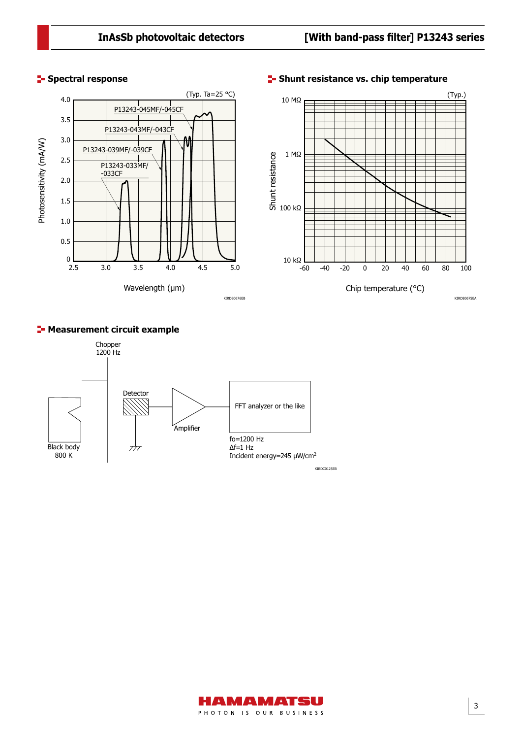# (Typ. Ta=25 °C) 4.0 P13243-045MF/-045CF 3.5 P13243-043MF/-043CF 3.0 Photosensitivity (mA/W) Photosensitivity (mA/W) P13243-039MF/-039CF 2.5 P13243-033MF/ -033CF 2.0 1.5 1.0 0.5  $0$   $\overline{2.5}$ 2.5 3.0 3.5 4.0 4.5 5.0 Wavelength (µm) KIRDB0676EB

# **Spectral response**

# **E-Shunt resistance vs. chip temperature**



# **E-Measurement circuit example**



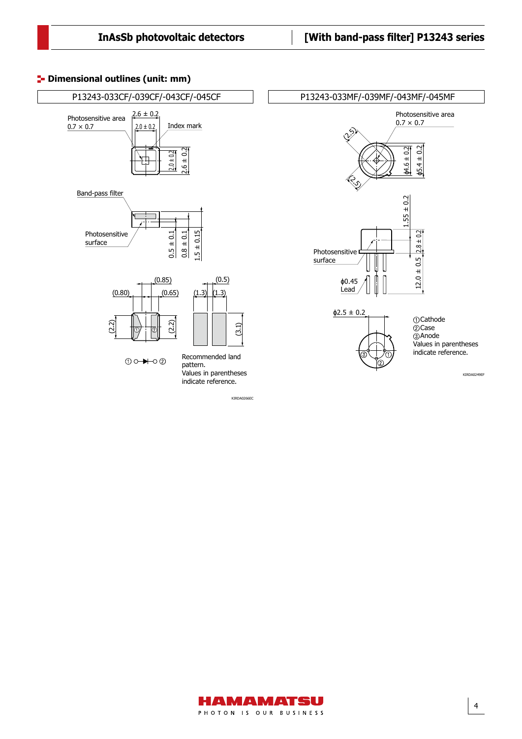# **<sup>1</sup>** Dimensional outlines (unit: mm)



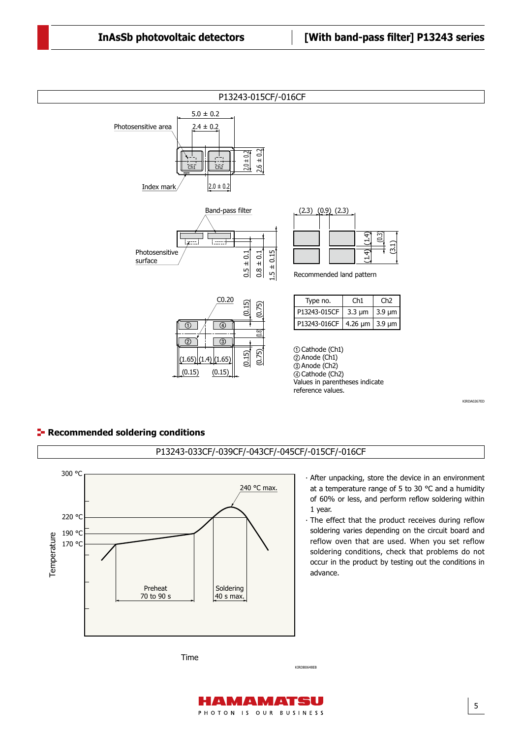$\mathcal{D}(\mathcal{D})$  and  $\mathcal{D}(\mathcal{D})$  and  $\mathcal{D}(\mathcal{D})$  and  $\mathcal{D}(\mathcal{D})$  and  $\mathcal{D}(\mathcal{D})$ 





Time

40 s max.

70 to 90 s

KIRDB0648EB

5